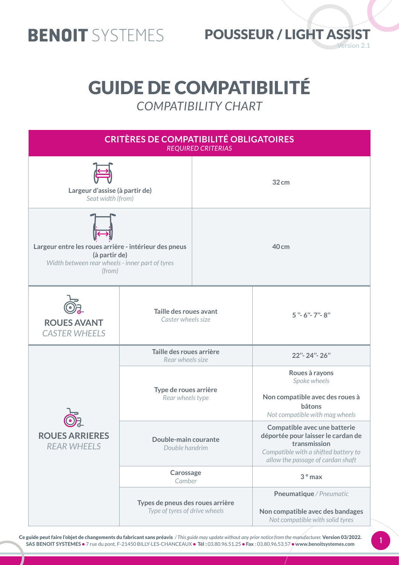

#### **Version 2.1 BENOIT** SYSTEMES POUSSEUR / LIGHT ASSIST

### GUIDE DE COMPATIBILITÉ *COMPATIBILITY CHART*



Ce guide peut faire l'objet de changements du fabricant sans préavis */ This guide may update without any prior notice from the manufacturer.* Version 03/2022. SAS BENOIT SYSTEMES • 7 rue du pont, F-21450 BILLY-LES-CHANCEAUX • Tél : 03.80.96.51.25 • Fax : 03.80.96.53.57 • www.benoitsystemes.com

1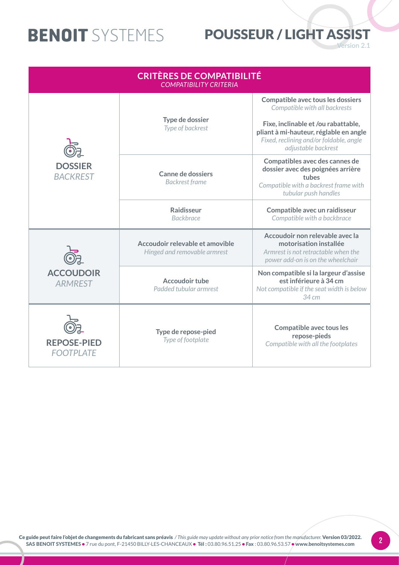### POUSSEUR / LIGHT ASSIST

**Version 2.1** 

| <b>CRITÈRES DE COMPATIBILITÉ</b><br><b>COMPATIBILITY CRITERIA</b> |                                                                 |                                                                                                                                                 |  |
|-------------------------------------------------------------------|-----------------------------------------------------------------|-------------------------------------------------------------------------------------------------------------------------------------------------|--|
| <b>DOSSIER</b><br><b>BACKREST</b>                                 |                                                                 | <b>Compatible avec tous les dossiers</b><br>Compatible with all backrests                                                                       |  |
|                                                                   | Type de dossier<br>Type of backrest                             | Fixe, inclinable et /ou rabattable,<br>pliant à mi-hauteur, réglable en angle<br>Fixed, reclining and/or foldable, angle<br>adjustable backrest |  |
|                                                                   | <b>Canne de dossiers</b><br><b>Backrest frame</b>               | Compatibles avec des cannes de<br>dossier avec des poignées arrière<br>tubes<br>Compatible with a backrest frame with<br>tubular push handles   |  |
|                                                                   | <b>Raidisseur</b><br><b>Backbrace</b>                           | Compatible avec un raidisseur<br>Compatible with a backbrace                                                                                    |  |
| <b>ACCOUDOIR</b><br><b>ARMREST</b>                                | Accoudoir relevable et amovible<br>Hinged and removable armrest | Accoudoir non relevable avec la<br>motorisation installée<br>Armrest is not retractable when the<br>power add-on is on the wheelchair           |  |
|                                                                   | <b>Accoudoir tube</b><br>Padded tubular armrest                 | Non compatible si la largeur d'assise<br>est inférieure à 34 cm<br>Not compatible if the seat width is below<br>34 cm                           |  |
| <b>REPOSE-PIED</b><br><b>FOOTPLATE</b>                            | Type de repose-pied<br>Type of footplate                        | Compatible avec tous les<br>repose-pieds<br>Compatible with all the footplates                                                                  |  |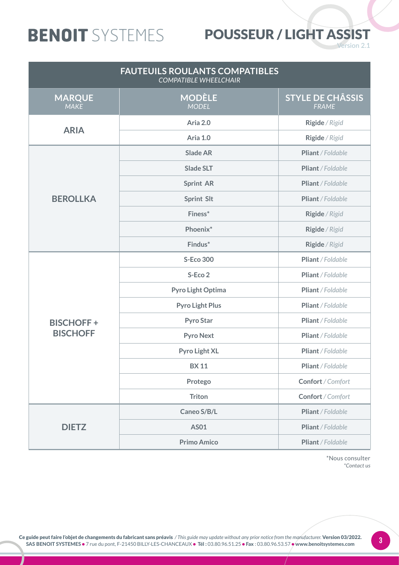### POUSSEUR / LIGHT ASSIST

**Version 2.1** 

| <b>FAUTEUILS ROULANTS COMPATIBLES</b><br><b>COMPATIBLE WHEELCHAIR</b> |                               |                                         |
|-----------------------------------------------------------------------|-------------------------------|-----------------------------------------|
| <b>MARQUE</b><br><b>MAKE</b>                                          | <b>MODÈLE</b><br><b>MODEL</b> | <b>STYLE DE CHÂSSIS</b><br><b>FRAME</b> |
| <b>ARIA</b>                                                           | Aria 2.0                      | Rigide / Rigid                          |
|                                                                       | Aria 1.0                      | Rigide / Rigid                          |
|                                                                       | <b>Slade AR</b>               | Pliant / Foldable                       |
|                                                                       | <b>Slade SLT</b>              | Pliant / Foldable                       |
|                                                                       | <b>Sprint AR</b>              | Pliant / Foldable                       |
| <b>BEROLLKA</b>                                                       | <b>Sprint Slt</b>             | Pliant / Foldable                       |
|                                                                       | Finess*                       | Rigide / Rigid                          |
|                                                                       | Phoenix*                      | Rigide / Rigid                          |
|                                                                       | Findus*                       | Rigide / Rigid                          |
|                                                                       | <b>S-Eco 300</b>              | Pliant / Foldable                       |
|                                                                       | S-Eco 2                       | Pliant / Foldable                       |
|                                                                       | Pyro Light Optima             | Pliant / Foldable                       |
|                                                                       | <b>Pyro Light Plus</b>        | Pliant / Foldable                       |
| <b>BISCHOFF+</b>                                                      | <b>Pyro Star</b>              | Pliant / Foldable                       |
| <b>BISCHOFF</b>                                                       | <b>Pyro Next</b>              | Pliant / Foldable                       |
|                                                                       | <b>Pyro Light XL</b>          | Pliant / Foldable                       |
|                                                                       | <b>BX11</b>                   | Pliant / Foldable                       |
|                                                                       | Protego                       | Confort / Comfort                       |
|                                                                       | <b>Triton</b>                 | Confort / Comfort                       |
|                                                                       | Caneo S/B/L                   | Pliant / Foldable                       |
| <b>DIETZ</b>                                                          | <b>AS01</b>                   | Pliant / Foldable                       |
|                                                                       | <b>Primo Amico</b>            | Pliant / Foldable                       |

\*Nous consulter *\*Contact us*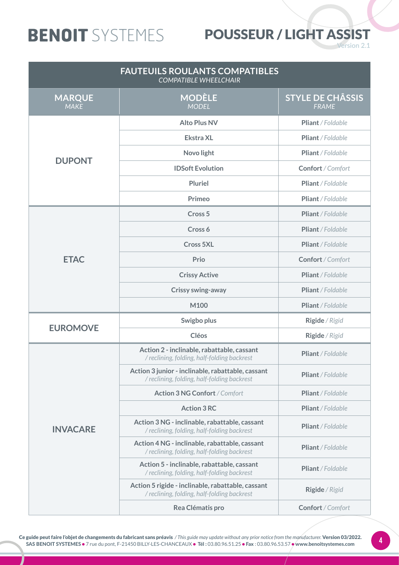### POUSSEUR / LIGHT ASSIST

**Version 2.1** 

| <b>FAUTEUILS ROULANTS COMPATIBLES</b><br><b>COMPATIBLE WHEELCHAIR</b> |                                                                                                  |                                         |
|-----------------------------------------------------------------------|--------------------------------------------------------------------------------------------------|-----------------------------------------|
| <b>MARQUE</b><br><b>MAKE</b>                                          | <b>MODÈLE</b><br><b>MODEL</b>                                                                    | <b>STYLE DE CHÂSSIS</b><br><b>FRAME</b> |
|                                                                       | <b>Alto Plus NV</b>                                                                              | Pliant / Foldable                       |
|                                                                       | <b>Ekstra XL</b>                                                                                 | Pliant / Foldable                       |
| <b>DUPONT</b>                                                         | Novo light                                                                                       | Pliant / Foldable                       |
|                                                                       | <b>IDSoft Evolution</b>                                                                          | Confort / Comfort                       |
|                                                                       | <b>Pluriel</b>                                                                                   | Pliant / Foldable                       |
|                                                                       | Primeo                                                                                           | Pliant / Foldable                       |
|                                                                       | Cross <sub>5</sub>                                                                               | Pliant / Foldable                       |
|                                                                       | Cross 6                                                                                          | Pliant / Foldable                       |
|                                                                       | <b>Cross 5XL</b>                                                                                 | Pliant / Foldable                       |
| <b>ETAC</b>                                                           | Prio                                                                                             | Confort / Comfort                       |
|                                                                       | <b>Crissy Active</b>                                                                             | Pliant / Foldable                       |
|                                                                       | <b>Crissy swing-away</b>                                                                         | Pliant / Foldable                       |
|                                                                       | M100                                                                                             | Pliant / Foldable                       |
| <b>EUROMOVE</b>                                                       | Swigbo plus                                                                                      | Rigide / Rigid                          |
|                                                                       | <b>Cléos</b>                                                                                     | Rigide / Rigid                          |
|                                                                       | Action 2 - inclinable, rabattable, cassant<br>/ reclining, folding, half-folding backrest        | Pliant / Foldable                       |
|                                                                       | Action 3 junior - inclinable, rabattable, cassant<br>/ reclining, folding, half-folding backrest | Pliant / Foldable                       |
|                                                                       | <b>Action 3 NG Confort / Comfort</b>                                                             | Pliant / Foldable                       |
|                                                                       | <b>Action 3 RC</b>                                                                               | Pliant / Foldable                       |
| <b>INVACARE</b>                                                       | Action 3 NG - inclinable, rabattable, cassant<br>/ reclining, folding, half-folding backrest     | Pliant / Foldable                       |
|                                                                       | Action 4 NG - inclinable, rabattable, cassant<br>/ reclining, folding, half-folding backrest     | Pliant / Foldable                       |
|                                                                       | Action 5 - inclinable, rabattable, cassant<br>/ reclining, folding, half-folding backrest        | Pliant / Foldable                       |
|                                                                       | Action 5 rigide - inclinable, rabattable, cassant<br>/ reclining, folding, half-folding backrest | Rigide / Rigid                          |
|                                                                       | Rea Clématis pro                                                                                 | Confort / Comfort                       |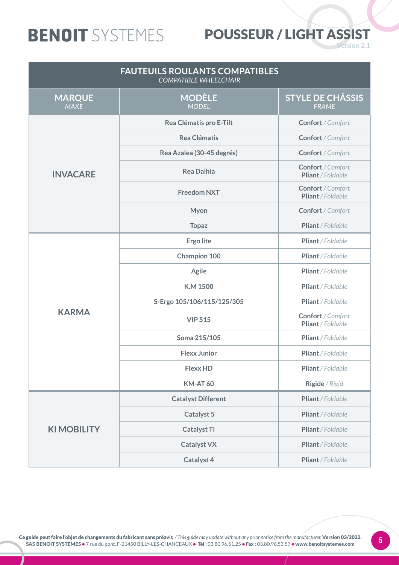### POUSSEUR / LIGHT ASSIST

**Version 2.1** 

| <b>FAUTEUILS ROULANTS COMPATIBLES</b><br><b>COMPATIBLE WHEELCHAIR</b> |                               |                                        |
|-----------------------------------------------------------------------|-------------------------------|----------------------------------------|
| <b>MARQUE</b><br><b>MAKE</b>                                          | <b>MODÈLE</b><br><b>MODEL</b> | <b>STYLE DE CHÂSSIS</b><br>FRAME       |
|                                                                       | Rea Clématis pro E-Tilt       | Confort / Comfort                      |
|                                                                       | <b>Rea Clématis</b>           | Confort / Comfort                      |
|                                                                       | Rea Azalea (30-45 degrés)     | Confort / Comfort                      |
| <b>INVACARE</b>                                                       | <b>Rea Dalhia</b>             | Confort / Comfort<br>Pliant / Foldable |
|                                                                       | <b>Freedom NXT</b>            | Confort / Comfort<br>Pliant / Foldable |
|                                                                       | Myon                          | Confort / Comfort                      |
|                                                                       | <b>Topaz</b>                  | Pliant / Foldable                      |
|                                                                       | <b>Ergo lite</b>              | Pliant / Foldable                      |
|                                                                       | <b>Champion 100</b>           | Pliant / Foldable                      |
|                                                                       | <b>Agile</b>                  | Pliant / Foldable                      |
|                                                                       | <b>K.M 1500</b>               | Pliant / Foldable                      |
|                                                                       | S-Ergo 105/106/115/125/305    | Pliant / Foldable                      |
| <b>KARMA</b>                                                          | <b>VIP 515</b>                | Confort / Comfort<br>Pliant / Foldable |
|                                                                       | Soma 215/105                  | Pliant / Foldable                      |
|                                                                       | <b>Flexx Junior</b>           | Pliant / Foldable                      |
|                                                                       | <b>Flexx HD</b>               | Pliant / Foldable                      |
|                                                                       | <b>KM-AT 60</b>               | Rigide / Rigid                         |
|                                                                       | <b>Catalyst Different</b>     | Pliant / Foldable                      |
|                                                                       | Catalyst 5                    | Pliant / Foldable                      |
| <b>KIMOBILITY</b>                                                     | <b>Catalyst TI</b>            | Pliant / Foldable                      |
|                                                                       | <b>Catalyst VX</b>            | Pliant / Foldable                      |
|                                                                       | Catalyst 4                    | Pliant / Foldable                      |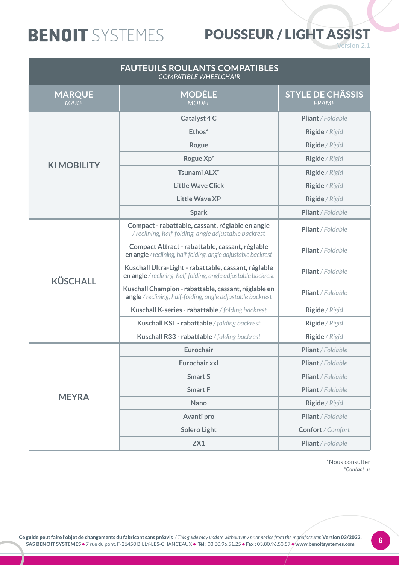### POUSSEUR / LIGHT ASSIST

**Version 2.1** 

| <b>FAUTEUILS ROULANTS COMPATIBLES</b><br><b>COMPATIBLE WHEELCHAIR</b> |                                                                                                                       |                                         |
|-----------------------------------------------------------------------|-----------------------------------------------------------------------------------------------------------------------|-----------------------------------------|
| <b>MARQUE</b><br><b>MAKE</b>                                          | <b>MODÈLE</b><br><b>MODEL</b>                                                                                         | <b>STYLE DE CHÂSSIS</b><br><b>FRAME</b> |
|                                                                       | Catalyst 4 C                                                                                                          | Pliant / Foldable                       |
|                                                                       | Ethos*                                                                                                                | Rigide / Rigid                          |
|                                                                       | Rogue                                                                                                                 | Rigide / Rigid                          |
|                                                                       | Rogue Xp*                                                                                                             | Rigide / Rigid                          |
| <b>KIMOBILITY</b>                                                     | Tsunami ALX*                                                                                                          | Rigide / Rigid                          |
|                                                                       | <b>Little Wave Click</b>                                                                                              | Rigide / Rigid                          |
|                                                                       | <b>Little Wave XP</b>                                                                                                 | Rigide / Rigid                          |
|                                                                       | <b>Spark</b>                                                                                                          | Pliant / Foldable                       |
|                                                                       | Compact - rabattable, cassant, réglable en angle<br>/ reclining, half-folding, angle adjustable backrest              | Pliant / Foldable                       |
|                                                                       | Compact Attract - rabattable, cassant, réglable<br>en angle / reclining, half-folding, angle adjustable backrest      | Pliant / Foldable                       |
| <b>KÜSCHALL</b>                                                       | Kuschall Ultra-Light - rabattable, cassant, réglable<br>en angle / reclining, half-folding, angle adjustable backrest | Pliant / Foldable                       |
|                                                                       | Kuschall Champion - rabattable, cassant, réglable en<br>angle / reclining, half-folding, angle adjustable backrest    | Pliant / Foldable                       |
|                                                                       | Kuschall K-series - rabattable / folding backrest                                                                     | Rigide / Rigid                          |
|                                                                       | Kuschall KSL - rabattable / folding backrest                                                                          | Rigide / Rigid                          |
|                                                                       | Kuschall R33 - rabattable / folding backrest                                                                          | Rigide / Rigid                          |
|                                                                       | Eurochair                                                                                                             | Pliant / Foldable                       |
|                                                                       | Eurochair xxl                                                                                                         | Pliant / Foldable                       |
|                                                                       | <b>Smart S</b>                                                                                                        | Pliant / Foldable                       |
|                                                                       | <b>Smart F</b>                                                                                                        | Pliant / Foldable                       |
| <b>MEYRA</b>                                                          | <b>Nano</b>                                                                                                           | Rigide / Rigid                          |
|                                                                       | Avanti pro                                                                                                            | Pliant / Foldable                       |
|                                                                       | <b>Solero Light</b>                                                                                                   | Confort / Comfort                       |
|                                                                       | ZX1                                                                                                                   | Pliant / Foldable                       |

\*Nous consulter *\*Contact us*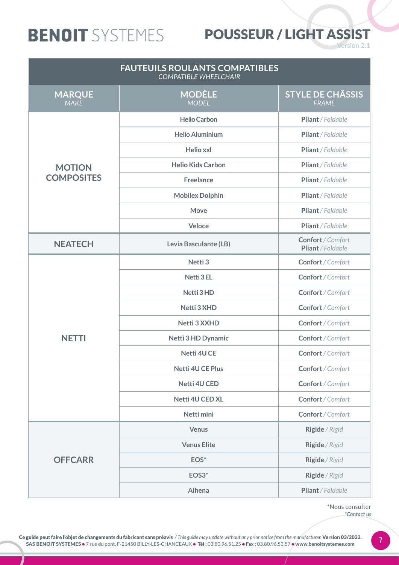### POUSSEUR / LIGHT ASSIST

**Version 2.1** 

| <b>FAUTEUILS ROULANTS COMPATIBLES</b><br><b>COMPATIBLE WHEELCHAIR</b> |                               |                                         |
|-----------------------------------------------------------------------|-------------------------------|-----------------------------------------|
| <b>MARQUE</b><br><b>MAKE</b>                                          | <b>MODÈLE</b><br><b>MODEL</b> | <b>STYLE DE CHÂSSIS</b><br><b>FRAME</b> |
|                                                                       | <b>Helio Carbon</b>           | Pliant / Foldable                       |
|                                                                       | <b>Helio Aluminium</b>        | Pliant / Foldable                       |
|                                                                       | Helio xxl                     | Pliant / Foldable                       |
| <b>MOTION</b>                                                         | <b>Helio Kids Carbon</b>      | Pliant / Foldable                       |
| <b>COMPOSITES</b>                                                     | <b>Freelance</b>              | Pliant / Foldable                       |
|                                                                       | <b>Mobilex Dolphin</b>        | Pliant / Foldable                       |
|                                                                       | <b>Move</b>                   | Pliant / Foldable                       |
|                                                                       | Veloce                        | Pliant / Foldable                       |
| <b>NEATECH</b>                                                        | Levia Basculante (LB)         | Confort / Comfort<br>Pliant / Foldable  |
|                                                                       | Netti <sub>3</sub>            | Confort / Comfort                       |
|                                                                       | <b>Netti 3 EL</b>             | Confort / Comfort                       |
|                                                                       | Netti 3 HD                    | Confort / Comfort                       |
|                                                                       | Netti 3 XHD                   | Confort / Comfort                       |
|                                                                       | Netti 3 XXHD                  | Confort / Comfort                       |
| <b>NETTI</b>                                                          | <b>Netti 3 HD Dynamic</b>     | Confort / Comfort                       |
|                                                                       | Netti 4U CE                   | Confort / Comfort                       |
|                                                                       | <b>Netti 4U CE Plus</b>       | Confort / Comfort                       |
|                                                                       | <b>Netti 4U CED</b>           | Confort / Comfort                       |
|                                                                       | <b>Netti 4U CED XL</b>        | Confort / Comfort                       |
|                                                                       | Netti mini                    | Confort / Comfort                       |
|                                                                       | <b>Venus</b>                  | Rigide / Rigid                          |
|                                                                       | <b>Venus Elite</b>            | Rigide / Rigid                          |
| <b>OFFCARR</b>                                                        | EOS <sup>*</sup>              | Rigide / Rigid                          |
|                                                                       | EOS <sub>3</sub> *            | Rigide / Rigid                          |
|                                                                       | Alhena                        | Pliant / Foldable                       |

\*Nous consulter *\*Contact us*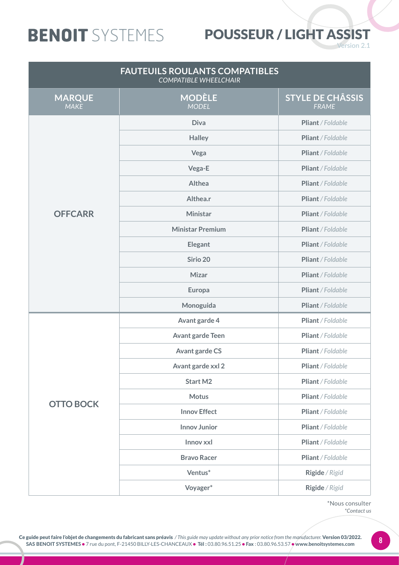### POUSSEUR / LIGHT ASSIST

**Version 2.1** 

| <b>FAUTEUILS ROULANTS COMPATIBLES</b><br><b>COMPATIBLE WHEELCHAIR</b> |                               |                                         |
|-----------------------------------------------------------------------|-------------------------------|-----------------------------------------|
| <b>MARQUE</b><br><b>MAKE</b>                                          | <b>MODÈLE</b><br><b>MODEL</b> | <b>STYLE DE CHÂSSIS</b><br><b>FRAME</b> |
|                                                                       | <b>Diva</b>                   | Pliant / Foldable                       |
|                                                                       | <b>Halley</b>                 | Pliant / Foldable                       |
|                                                                       | Vega                          | Pliant / Foldable                       |
|                                                                       | Vega-E                        | Pliant / Foldable                       |
|                                                                       | Althea                        | Pliant / Foldable                       |
|                                                                       | Althea.r                      | Pliant / Foldable                       |
| <b>OFFCARR</b>                                                        | <b>Ministar</b>               | Pliant / Foldable                       |
|                                                                       | <b>Ministar Premium</b>       | Pliant / Foldable                       |
|                                                                       | <b>Elegant</b>                | Pliant / Foldable                       |
|                                                                       | Sirio 20                      | Pliant / Foldable                       |
|                                                                       | <b>Mizar</b>                  | Pliant / Foldable                       |
|                                                                       | Europa                        | Pliant / Foldable                       |
|                                                                       | Monoguida                     | Pliant / Foldable                       |
|                                                                       | Avant garde 4                 | Pliant / Foldable                       |
|                                                                       | <b>Avant garde Teen</b>       | Pliant / Foldable                       |
|                                                                       | <b>Avant garde CS</b>         | Pliant / Foldable                       |
|                                                                       | Avant garde xxl 2             | Pliant / Foldable                       |
|                                                                       | <b>Start M2</b>               | Pliant / Foldable                       |
|                                                                       | <b>Motus</b>                  | Pliant / Foldable                       |
| <b>OTTO BOCK</b>                                                      | <b>Innov Effect</b>           | Pliant / Foldable                       |
|                                                                       | <b>Innov Junior</b>           | Pliant / Foldable                       |
|                                                                       | Innov xxl                     | Pliant / Foldable                       |
|                                                                       | <b>Bravo Racer</b>            | Pliant / Foldable                       |
|                                                                       | Ventus*                       | Rigide / Rigid                          |
|                                                                       | Voyager*                      | Rigide / Rigid                          |

\*Nous consulter *\*Contact us*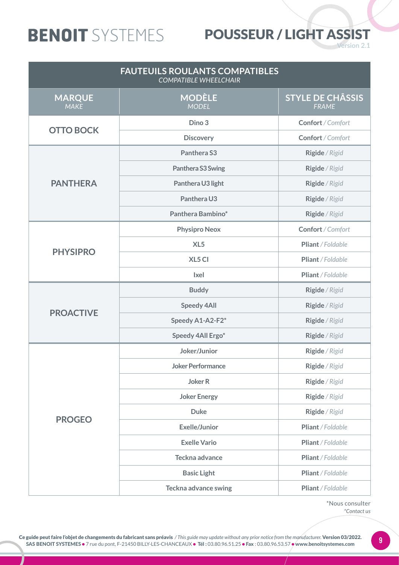### POUSSEUR / LIGHT ASSIST

**Version 2.1** 

| <b>FAUTEUILS ROULANTS COMPATIBLES</b><br><b>COMPATIBLE WHEELCHAIR</b> |                               |                                         |
|-----------------------------------------------------------------------|-------------------------------|-----------------------------------------|
| <b>MARQUE</b><br><b>MAKE</b>                                          | <b>MODÈLE</b><br><b>MODEL</b> | <b>STYLE DE CHÂSSIS</b><br><b>FRAME</b> |
|                                                                       | Dino 3                        | Confort / Comfort                       |
| <b>OTTO BOCK</b>                                                      | <b>Discovery</b>              | Confort / Comfort                       |
|                                                                       | Panthera S3                   | Rigide / Rigid                          |
|                                                                       | Panthera S3 Swing             | Rigide / Rigid                          |
| <b>PANTHERA</b>                                                       | Panthera U3 light             | Rigide / Rigid                          |
|                                                                       | Panthera U3                   | Rigide / Rigid                          |
|                                                                       | Panthera Bambino*             | Rigide / Rigid                          |
|                                                                       | <b>Physipro Neox</b>          | Confort / Comfort                       |
|                                                                       | XL <sub>5</sub>               | Pliant / Foldable                       |
| <b>PHYSIPRO</b>                                                       | XL5 CI                        | Pliant / Foldable                       |
|                                                                       | <b>Ixel</b>                   | Pliant / Foldable                       |
|                                                                       | <b>Buddy</b>                  | Rigide / Rigid                          |
|                                                                       | <b>Speedy 4All</b>            | Rigide / Rigid                          |
| <b>PROACTIVE</b>                                                      | Speedy A1-A2-F2*              | Rigide / Rigid                          |
|                                                                       | Speedy 4All Ergo*             | Rigide / Rigid                          |
|                                                                       | Joker/Junior                  | Rigide / Rigid                          |
|                                                                       | <b>Joker Performance</b>      | Rigide / Rigid                          |
|                                                                       | <b>Joker R</b>                | Rigide / Rigid                          |
|                                                                       | <b>Joker Energy</b>           | Rigide / Rigid                          |
|                                                                       | <b>Duke</b>                   | Rigide / Rigid                          |
| <b>PROGEO</b>                                                         | <b>Exelle/Junior</b>          | Pliant / Foldable                       |
|                                                                       | <b>Exelle Vario</b>           | Pliant / Foldable                       |
|                                                                       | Teckna advance                | Pliant / Foldable                       |
|                                                                       | <b>Basic Light</b>            | Pliant / Foldable                       |
|                                                                       | <b>Teckna advance swing</b>   | Pliant / Foldable                       |

\*Nous consulter *\*Contact us*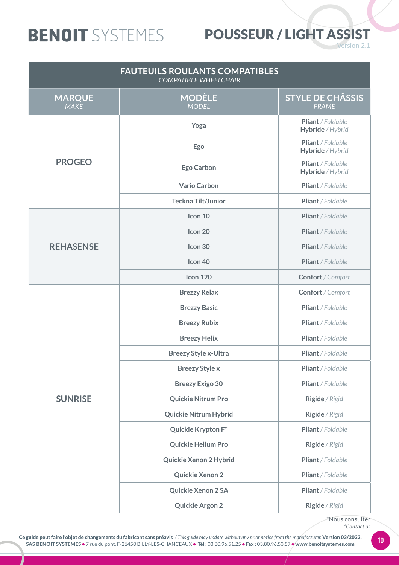#### POUSSEUR / LIGHT ASSIST

**Version 2.1** 

| <b>FAUTEUILS ROULANTS COMPATIBLES</b><br><b>COMPATIBLE WHEELCHAIR</b> |                               |                                         |
|-----------------------------------------------------------------------|-------------------------------|-----------------------------------------|
| <b>MARQUE</b><br><b>MAKE</b>                                          | <b>MODÈLE</b><br><b>MODEL</b> | <b>STYLE DE CHÂSSIS</b><br><b>FRAME</b> |
|                                                                       | Yoga                          | Pliant / Foldable<br>Hybride / Hybrid   |
|                                                                       | Ego                           | Pliant / Foldable<br>Hybride / Hybrid   |
| <b>PROGEO</b>                                                         | <b>Ego Carbon</b>             | Pliant / Foldable<br>Hybride / Hybrid   |
|                                                                       | <b>Vario Carbon</b>           | Pliant / Foldable                       |
|                                                                       | <b>Teckna Tilt/Junior</b>     | Pliant / Foldable                       |
|                                                                       | Icon 10                       | Pliant / Foldable                       |
|                                                                       | Icon 20                       | Pliant / Foldable                       |
| <b>REHASENSE</b>                                                      | Icon 30                       | Pliant / Foldable                       |
|                                                                       | Icon <sub>40</sub>            | Pliant / Foldable                       |
|                                                                       | <b>Icon 120</b>               | Confort / Comfort                       |
|                                                                       | <b>Brezzy Relax</b>           | Confort / Comfort                       |
|                                                                       | <b>Brezzy Basic</b>           | Pliant / Foldable                       |
|                                                                       | <b>Breezy Rubix</b>           | Pliant / Foldable                       |
|                                                                       | <b>Breezy Helix</b>           | Pliant / Foldable                       |
|                                                                       | <b>Breezy Style x-Ultra</b>   | Pliant / Foldable                       |
|                                                                       | <b>Breezy Style x</b>         | Pliant / Foldable                       |
|                                                                       | <b>Breezy Exigo 30</b>        | Pliant / Foldable                       |
| <b>SUNRISE</b>                                                        | <b>Quickie Nitrum Pro</b>     | Rigide / Rigid                          |
|                                                                       | <b>Quickie Nitrum Hybrid</b>  | Rigide / Rigid                          |
|                                                                       | Quickie Krypton F*            | Pliant / Foldable                       |
|                                                                       | <b>Quickie Helium Pro</b>     | Rigide / Rigid                          |
|                                                                       | Quickie Xenon 2 Hybrid        | Pliant / Foldable                       |
|                                                                       | Quickie Xenon 2               | Pliant / Foldable                       |
|                                                                       | <b>Quickie Xenon 2 SA</b>     | Pliant / Foldable                       |
|                                                                       | <b>Quickie Argon 2</b>        | Rigide / Rigid                          |

\*Nous consulter *\*Contact us*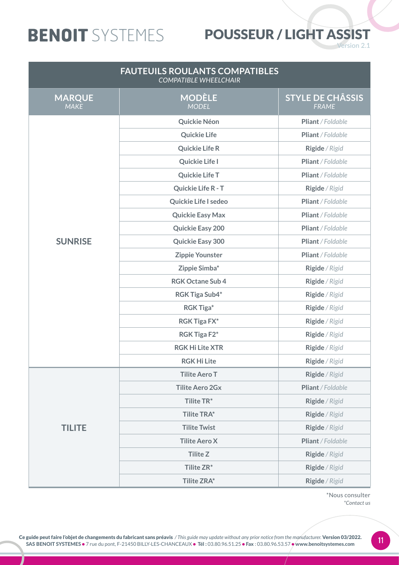### POUSSEUR / LIGHT ASSIST

**Version 2.1** 

| <b>FAUTEUILS ROULANTS COMPATIBLES</b><br><b>COMPATIBLE WHEELCHAIR</b> |                               |                                         |
|-----------------------------------------------------------------------|-------------------------------|-----------------------------------------|
| <b>MARQUE</b><br><b>MAKE</b>                                          | <b>MODÈLE</b><br><b>MODEL</b> | <b>STYLE DE CHÂSSIS</b><br><b>FRAME</b> |
|                                                                       | Quickie Néon                  | Pliant / Foldable                       |
|                                                                       | <b>Quickie Life</b>           | Pliant / Foldable                       |
|                                                                       | <b>Quickie Life R</b>         | Rigide / Rigid                          |
|                                                                       | <b>Quickie Life I</b>         | Pliant / Foldable                       |
|                                                                       | <b>Quickie Life T</b>         | Pliant / Foldable                       |
|                                                                       | Quickie Life R - T            | Rigide / Rigid                          |
|                                                                       | Quickie Life I sedeo          | Pliant / Foldable                       |
|                                                                       | <b>Quickie Easy Max</b>       | Pliant / Foldable                       |
|                                                                       | <b>Quickie Easy 200</b>       | Pliant / Foldable                       |
| <b>SUNRISE</b>                                                        | <b>Quickie Easy 300</b>       | Pliant / Foldable                       |
|                                                                       | <b>Zippie Younster</b>        | Pliant / Foldable                       |
|                                                                       | Zippie Simba*                 | Rigide / Rigid                          |
|                                                                       | <b>RGK Octane Sub 4</b>       | Rigide / Rigid                          |
|                                                                       | <b>RGK Tiga Sub4*</b>         | Rigide / Rigid                          |
|                                                                       | <b>RGK Tiga*</b>              | Rigide / Rigid                          |
|                                                                       | <b>RGK Tiga FX*</b>           | Rigide / Rigid                          |
|                                                                       | <b>RGK Tiga F2*</b>           | Rigide / Rigid                          |
|                                                                       | <b>RGK Hi Lite XTR</b>        | Rigide / Rigid                          |
|                                                                       | <b>RGK Hi Lite</b>            | Rigide / Rigid                          |
|                                                                       | <b>Tilite Aero T</b>          | Rigide / Rigid                          |
|                                                                       | <b>Tilite Aero 2Gx</b>        | Pliant / Foldable                       |
|                                                                       | Tilite TR*                    | Rigide / Rigid                          |
|                                                                       | <b>Tilite TRA*</b>            | Rigide / Rigid                          |
| <b>TILITE</b>                                                         | <b>Tilite Twist</b>           | Rigide / Rigid                          |
|                                                                       | <b>Tilite Aero X</b>          | Pliant / Foldable                       |
|                                                                       | <b>Tilite Z</b>               | Rigide / Rigid                          |
|                                                                       | Tilite ZR*                    | Rigide / Rigid                          |
|                                                                       | <b>Tilite ZRA*</b>            | Rigide / Rigid                          |

\*Nous consulter *\*Contact us*